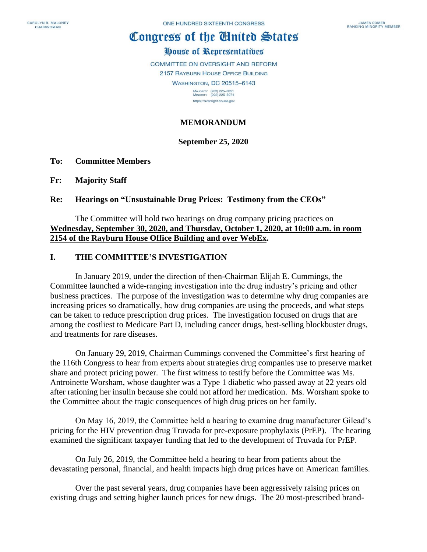# Congress of the Ginited States

# House of Representatives

COMMITTEE ON OVERSIGHT AND REFORM 2157 RAYBURN HOUSE OFFICE BUILDING

> **WASHINGTON, DC 20515-6143** MAJORITY (202) 225-5051<br>MINORITY (202) 225-5074

https://oversight.house.gov

# **MEMORANDUM**

## **September 25, 2020**

## **To: Committee Members**

**Fr: Majority Staff**

## **Re: Hearings on "Unsustainable Drug Prices: Testimony from the CEOs"**

## The Committee will hold two hearings on drug company pricing practices on **Wednesday, September 30, 2020, and Thursday, October 1, 2020, at 10:00 a.m. in room 2154 of the Rayburn House Office Building and over WebEx.**

## **I. THE COMMITTEE'S INVESTIGATION**

In January 2019, under the direction of then-Chairman Elijah E. Cummings, the Committee launched a wide-ranging investigation into the drug industry's pricing and other business practices. The purpose of the investigation was to determine why drug companies are increasing prices so dramatically, how drug companies are using the proceeds, and what steps can be taken to reduce prescription drug prices. The investigation focused on drugs that are among the costliest to Medicare Part D, including cancer drugs, best-selling blockbuster drugs, and treatments for rare diseases.

On January 29, 2019, Chairman Cummings convened the Committee's first hearing of the 116th Congress to hear from experts about strategies drug companies use to preserve market share and protect pricing power. The first witness to testify before the Committee was Ms. Antroinette Worsham, whose daughter was a Type 1 diabetic who passed away at 22 years old after rationing her insulin because she could not afford her medication. Ms. Worsham spoke to the Committee about the tragic consequences of high drug prices on her family.

On May 16, 2019, the Committee held a hearing to examine drug manufacturer Gilead's pricing for the HIV prevention drug Truvada for pre-exposure prophylaxis (PrEP). The hearing examined the significant taxpayer funding that led to the development of Truvada for PrEP.

On July 26, 2019, the Committee held a hearing to hear from patients about the devastating personal, financial, and health impacts high drug prices have on American families.

Over the past several years, drug companies have been aggressively raising prices on existing drugs and setting higher launch prices for new drugs. The 20 most-prescribed brand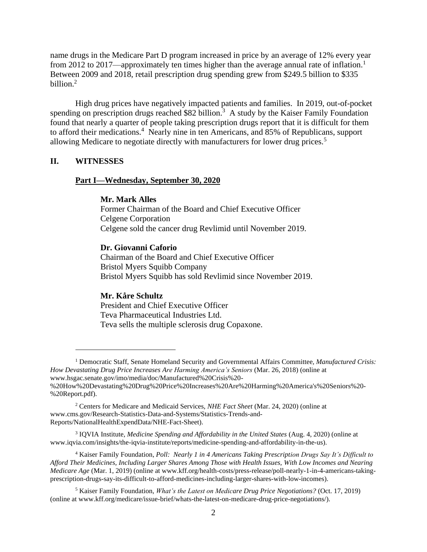name drugs in the Medicare Part D program increased in price by an average of 12% every year from 2012 to 2017—approximately ten times higher than the average annual rate of inflation.<sup>1</sup> Between 2009 and 2018, retail prescription drug spending grew from \$249.5 billion to \$335 billion.<sup>2</sup>

High drug prices have negatively impacted patients and families. In 2019, out-of-pocket spending on prescription drugs reached \$82 billion.<sup>3</sup> A study by the Kaiser Family Foundation found that nearly a quarter of people taking prescription drugs report that it is difficult for them to afford their medications.<sup>4</sup> Nearly nine in ten Americans, and 85% of Republicans, support allowing Medicare to negotiate directly with manufacturers for lower drug prices.<sup>5</sup>

## **II. WITNESSES**

#### **Part I—Wednesday, September 30, 2020**

#### **Mr. Mark Alles**

Former Chairman of the Board and Chief Executive Officer Celgene Corporation Celgene sold the cancer drug Revlimid until November 2019.

#### **Dr. Giovanni Caforio**

Chairman of the Board and Chief Executive Officer Bristol Myers Squibb Company Bristol Myers Squibb has sold Revlimid since November 2019.

### **Mr. Kåre Schultz**

President and Chief Executive Officer Teva Pharmaceutical Industries Ltd. Teva sells the multiple sclerosis drug Copaxone.

3 IQVIA Institute, *Medicine Spending and Affordability in the United States* (Aug. 4, 2020) (online at www.iqvia.com/insights/the-iqvia-institute/reports/medicine-spending-and-affordability-in-the-us).

<sup>4</sup> Kaiser Family Foundation, *Poll: Nearly 1 in 4 Americans Taking Prescription Drugs Say It's Difficult to Afford Their Medicines, Including Larger Shares Among Those with Health Issues, With Low Incomes and Nearing Medicare Age* (Mar. 1, 2019) (online at www.kff.org/health-costs/press-release/poll-nearly-1-in-4-americans-takingprescription-drugs-say-its-difficult-to-afford-medicines-including-larger-shares-with-low-incomes).

<sup>5</sup> Kaiser Family Foundation, *What's the Latest on Medicare Drug Price Negotiations?* (Oct. 17, 2019) (online at www.kff.org/medicare/issue-brief/whats-the-latest-on-medicare-drug-price-negotiations/).

<sup>1</sup> Democratic Staff, Senate Homeland Security and Governmental Affairs Committee, *Manufactured Crisis: How Devastating Drug Price Increases Are Harming America's Seniors* (Mar. 26, 2018) (online at www.hsgac.senate.gov/imo/media/doc/Manufactured%20Crisis%20- %20How%20Devastating%20Drug%20Price%20Increases%20Are%20Harming%20America's%20Seniors%20- %20Report.pdf).

<sup>2</sup> Centers for Medicare and Medicaid Services, *NHE Fact Sheet* (Mar. 24, 2020) (online at www.cms.gov/Research-Statistics-Data-and-Systems/Statistics-Trends-and-Reports/NationalHealthExpendData/NHE-Fact-Sheet).